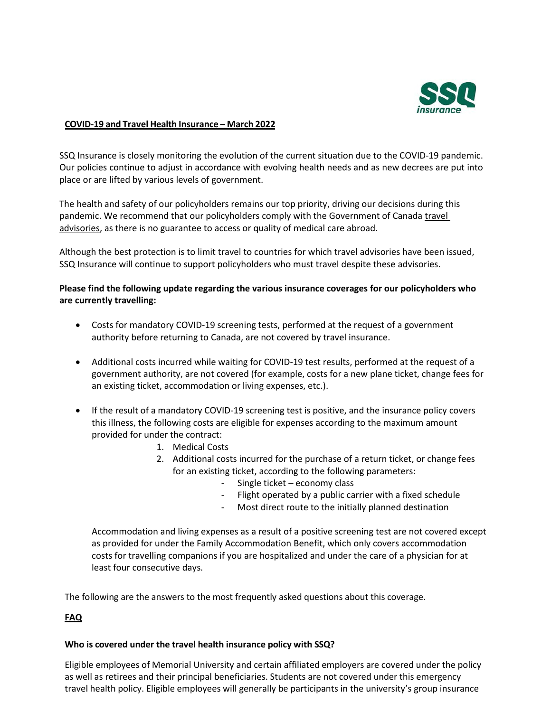

### **COVID-19 and Travel Health Insurance – March 2022**

SSQ Insurance is closely monitoring the evolution of the current situation due to the COVID-19 pandemic. Our policies continue to adjust in accordance with evolving health needs and as new decrees are put into place or are lifted by various levels of government.

The health and safety of our policyholders remains our top priority, driving our decisions during this pandemic. We recommend that our policyholders comply with the Government of Canada travel [advisories,](https://travel.gc.ca/travelling/advisories) as there is no guarantee to access or quality of medical care abroad.

Although the best protection is to limit travel to countries for which travel advisories have been issued, SSQ Insurance will continue to support policyholders who must travel despite these advisories.

## **Please find the following update regarding the various insurance coverages for our policyholders who are currently travelling:**

- Costs for mandatory COVID-19 screening tests, performed at the request of a government authority before returning to Canada, are not covered by travel insurance.
- Additional costs incurred while waiting for COVID-19 test results, performed at the request of a government authority, are not covered (for example, costs for a new plane ticket, change fees for an existing ticket, accommodation or living expenses, etc.).
- If the result of a mandatory COVID-19 screening test is positive, and the insurance policy covers this illness, the following costs are eligible for expenses according to the maximum amount provided for under the contract:
	- 1. Medical Costs
	- 2. Additional costs incurred for the purchase of a return ticket, or change fees for an existing ticket, according to the following parameters:
		- Single ticket economy class
		- Flight operated by a public carrier with a fixed schedule
		- Most direct route to the initially planned destination

Accommodation and living expenses as a result of a positive screening test are not covered except as provided for under the Family Accommodation Benefit, which only covers accommodation costs for travelling companions if you are hospitalized and under the care of a physician for at least four consecutive days.

The following are the answers to the most frequently asked questions about this coverage.

# **FAQ**

## **Who is covered under the travel health insurance policy with SSQ?**

Eligible employees of Memorial University and certain affiliated employers are covered under the policy as well as retirees and their principal beneficiaries. Students are not covered under this emergency travel health policy. Eligible employees will generally be participants in the university's group insurance